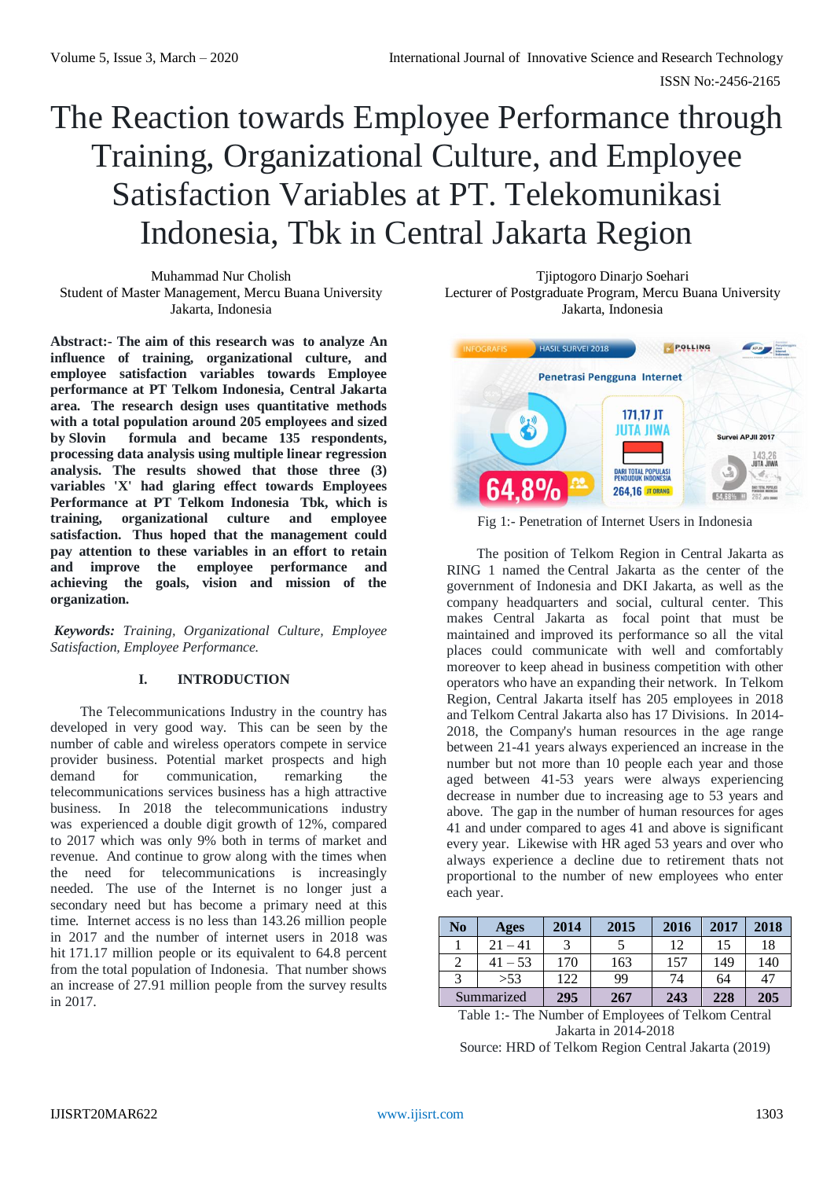# The Reaction towards Employee Performance through Training, Organizational Culture, and Employee Satisfaction Variables at PT. Telekomunikasi Indonesia, Tbk in Central Jakarta Region

Muhammad Nur Cholish Student of Master Management, Mercu Buana University Jakarta, Indonesia

**Abstract:- The aim of this research was to analyze An influence of training, organizational culture, and employee satisfaction variables towards Employee performance at PT Telkom Indonesia, Central Jakarta area. The research design uses quantitative methods with a total population around 205 employees and sized by Slovin formula and became 135 respondents, processing data analysis using multiple linear regression analysis. The results showed that those three (3) variables 'X' had glaring effect towards Employees Performance at PT Telkom Indonesia Tbk, which is training, organizational culture and employee satisfaction. Thus hoped that the management could pay attention to these variables in an effort to retain and improve the employee performance and achieving the goals, vision and mission of the organization.**

*Keywords: Training, Organizational Culture, Employee Satisfaction, Employee Performance.*

# **I. INTRODUCTION**

The Telecommunications Industry in the country has developed in very good way. This can be seen by the number of cable and wireless operators compete in service provider business. Potential market prospects and high demand for communication, remarking the telecommunications services business has a high attractive business. In 2018 the telecommunications industry was experienced a double digit growth of 12%, compared to 2017 which was only 9% both in terms of market and revenue. And continue to grow along with the times when the need for telecommunications is increasingly needed. The use of the Internet is no longer just a secondary need but has become a primary need at this time. Internet access is no less than 143.26 million people in 2017 and the number of internet users in 2018 was hit 171.17 million people or its equivalent to 64.8 percent from the total population of Indonesia. That number shows an increase of 27.91 million people from the survey results in 2017.

Tjiptogoro Dinarjo Soehari Lecturer of Postgraduate Program, Mercu Buana University Jakarta, Indonesia



Fig 1:- Penetration of Internet Users in Indonesia

The position of Telkom Region in Central Jakarta as RING 1 named the Central Jakarta as the center of the government of Indonesia and DKI Jakarta, as well as the company headquarters and social, cultural center. This makes Central Jakarta as focal point that must be maintained and improved its performance so all the vital places could communicate with well and comfortably moreover to keep ahead in business competition with other operators who have an expanding their network. In Telkom Region, Central Jakarta itself has 205 employees in 2018 and Telkom Central Jakarta also has 17 Divisions. In 2014- 2018, the Company's human resources in the age range between 21-41 years always experienced an increase in the number but not more than 10 people each year and those aged between 41-53 years were always experiencing decrease in number due to increasing age to 53 years and above. The gap in the number of human resources for ages 41 and under compared to ages 41 and above is significant every year. Likewise with HR aged 53 years and over who always experience a decline due to retirement thats not proportional to the number of new employees who enter each year.

| No         | Ages      | 2014 | 2015 | 2016 | 2017 | 2018 |
|------------|-----------|------|------|------|------|------|
|            | $21 - 41$ |      |      | 12   | 15   | 18   |
|            | $41 - 53$ | 170  | 163  | 157  | 149  | 140  |
|            | >53       | 122  | 99   | 74   | 64   | 47   |
| Summarized |           | 295  | 267  | 243  | 228  | 205  |

Table 1:- The Number of Employees of Telkom Central Jakarta in 2014-2018

Source: HRD of Telkom Region Central Jakarta (2019)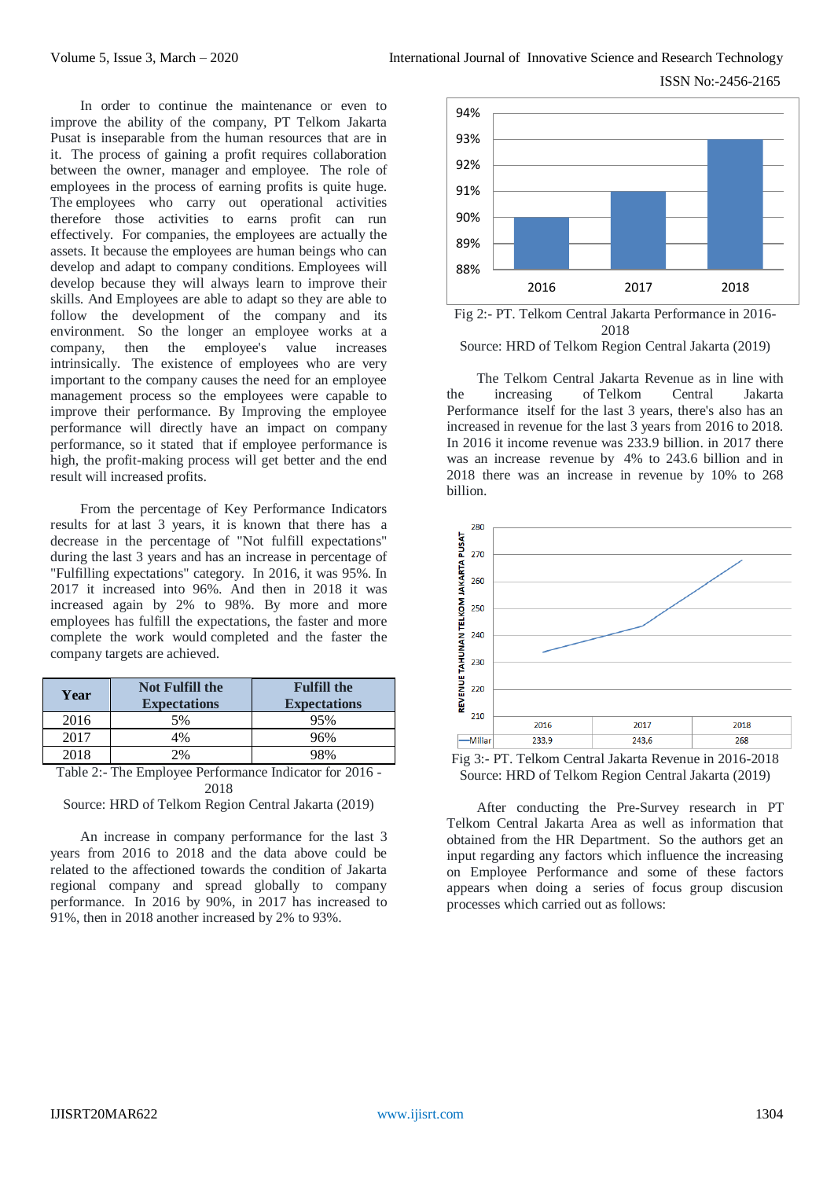In order to continue the maintenance or even to improve the ability of the company, PT Telkom Jakarta Pusat is inseparable from the human resources that are in it. The process of gaining a profit requires collaboration between the owner, manager and employee. The role of employees in the process of earning profits is quite huge. The employees who carry out operational activities therefore those activities to earns profit can run effectively. For companies, the employees are actually the assets. It because the employees are human beings who can develop and adapt to company conditions. Employees will develop because they will always learn to improve their skills. And Employees are able to adapt so they are able to follow the development of the company and its environment. So the longer an employee works at a company, then the employee's value increases intrinsically. The existence of employees who are very important to the company causes the need for an employee management process so the employees were capable to improve their performance. By Improving the employee performance will directly have an impact on company performance, so it stated that if employee performance is high, the profit-making process will get better and the end result will increased profits.

From the percentage of Key Performance Indicators results for at last 3 years, it is known that there has a decrease in the percentage of "Not fulfill expectations" during the last 3 years and has an increase in percentage of "Fulfilling expectations" category. In 2016, it was 95%. In 2017 it increased into 96%. And then in 2018 it was increased again by 2% to 98%. By more and more employees has fulfill the expectations, the faster and more complete the work would completed and the faster the company targets are achieved.

| Year | <b>Not Fulfill the</b><br><b>Expectations</b> | <b>Fulfill the</b><br><b>Expectations</b> |
|------|-----------------------------------------------|-------------------------------------------|
| 2016 | 5%                                            | 95%                                       |
| 2017 | 4%                                            | 96%                                       |
| 2018 | 2%                                            | 98%                                       |

Table 2:- The Employee Performance Indicator for 2016 - 2018

Source: HRD of Telkom Region Central Jakarta (2019)

An increase in company performance for the last 3 years from 2016 to 2018 and the data above could be related to the affectioned towards the condition of Jakarta regional company and spread globally to company performance. In 2016 by 90%, in 2017 has increased to 91%, then in 2018 another increased by 2% to 93%.





The Telkom Central Jakarta Revenue as in line with the increasing of Telkom Central Jakarta Performance itself for the last 3 years, there's also has an increased in revenue for the last 3 years from 2016 to 2018. In 2016 it income revenue was 233.9 billion. in 2017 there was an increase revenue by 4% to 243.6 billion and in 2018 there was an increase in revenue by 10% to 268 billion.



Fig 3:- PT. Telkom Central Jakarta Revenue in 2016-2018 Source: HRD of Telkom Region Central Jakarta (2019)

After conducting the Pre-Survey research in PT Telkom Central Jakarta Area as well as information that obtained from the HR Department. So the authors get an input regarding any factors which influence the increasing on Employee Performance and some of these factors appears when doing a series of focus group discusion processes which carried out as follows: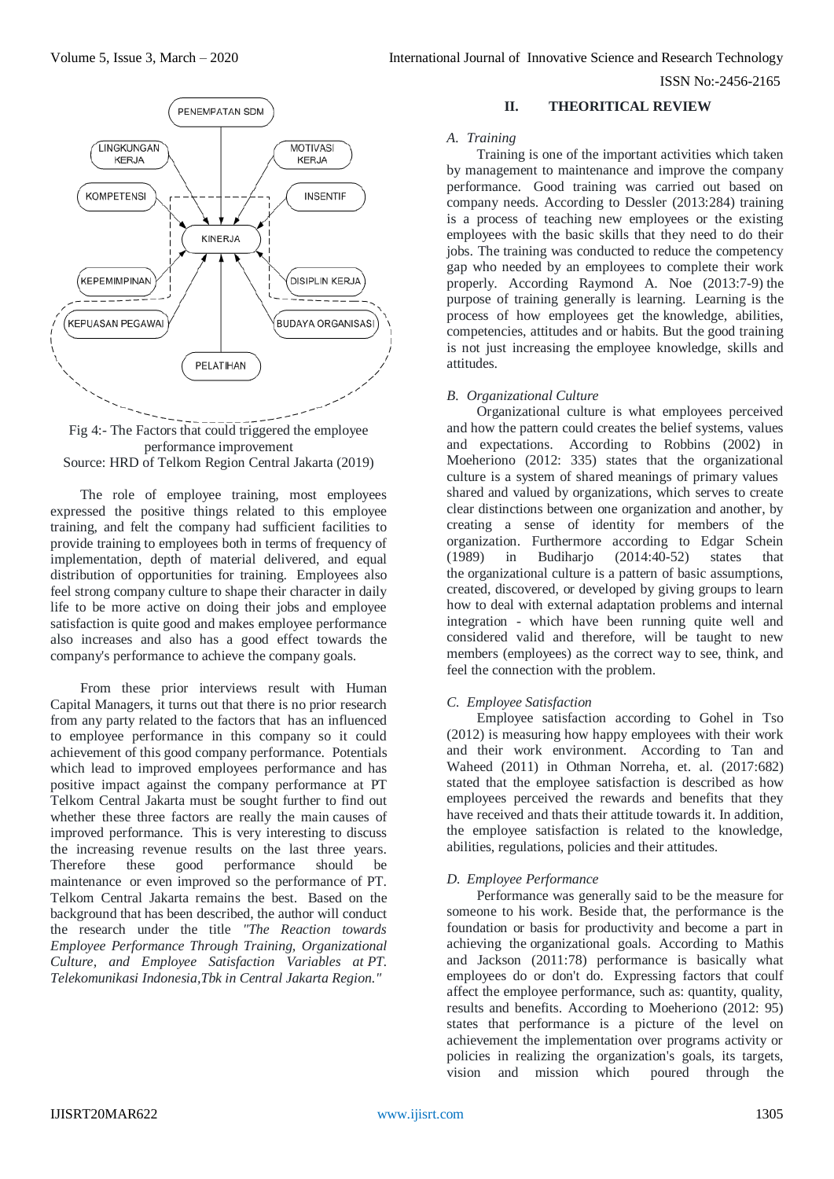

Fig 4:- The Factors that could triggered the employee performance improvement Source: HRD of Telkom Region Central Jakarta (2019)

The role of employee training, most employees expressed the positive things related to this employee training, and felt the company had sufficient facilities to provide training to employees both in terms of frequency of implementation, depth of material delivered, and equal distribution of opportunities for training. Employees also feel strong company culture to shape their character in daily life to be more active on doing their jobs and employee satisfaction is quite good and makes employee performance also increases and also has a good effect towards the company's performance to achieve the company goals.

From these prior interviews result with Human Capital Managers, it turns out that there is no prior research from any party related to the factors that has an influenced to employee performance in this company so it could achievement of this good company performance. Potentials which lead to improved employees performance and has positive impact against the company performance at PT Telkom Central Jakarta must be sought further to find out whether these three factors are really the main causes of improved performance. This is very interesting to discuss the increasing revenue results on the last three years. Therefore these good performance should be maintenance or even improved so the performance of PT. Telkom Central Jakarta remains the best. Based on the background that has been described, the author will conduct the research under the title *"The Reaction towards Employee Performance Through Training, Organizational Culture, and Employee Satisfaction Variables at PT. Telekomunikasi Indonesia,Tbk in Central Jakarta Region."*

# **II. THEORITICAL REVIEW**

## *A. Training*

Training is one of the important activities which taken by management to maintenance and improve the company performance. Good training was carried out based on company needs. According to Dessler (2013:284) training is a process of teaching new employees or the existing employees with the basic skills that they need to do their jobs. The training was conducted to reduce the competency gap who needed by an employees to complete their work properly. According Raymond A. Noe (2013:7-9) the purpose of training generally is learning. Learning is the process of how employees get the knowledge, abilities, competencies, attitudes and or habits. But the good training is not just increasing the employee knowledge, skills and attitudes.

# *B. Organizational Culture*

Organizational culture is what employees perceived and how the pattern could creates the belief systems, values and expectations. According to Robbins (2002) in Moeheriono (2012: 335) states that the organizational culture is a system of shared meanings of primary values shared and valued by organizations, which serves to create clear distinctions between one organization and another, by creating a sense of identity for members of the organization. Furthermore according to Edgar Schein (1989) in Budiharjo (2014:40-52) states that the organizational culture is a pattern of basic assumptions, created, discovered, or developed by giving groups to learn how to deal with external adaptation problems and internal integration - which have been running quite well and considered valid and therefore, will be taught to new members (employees) as the correct way to see, think, and feel the connection with the problem.

# *C. Employee Satisfaction*

Employee satisfaction according to Gohel in Tso (2012) is measuring how happy employees with their work and their work environment. According to Tan and Waheed (2011) in Othman Norreha, et. al. (2017:682) stated that the employee satisfaction is described as how employees perceived the rewards and benefits that they have received and thats their attitude towards it. In addition, the employee satisfaction is related to the knowledge, abilities, regulations, policies and their attitudes.

# *D. Employee Performance*

Performance was generally said to be the measure for someone to his work. Beside that, the performance is the foundation or basis for productivity and become a part in achieving the organizational goals. According to Mathis and Jackson (2011:78) performance is basically what employees do or don't do. Expressing factors that coulf affect the employee performance, such as: quantity, quality, results and benefits. According to Moeheriono (2012: 95) states that performance is a picture of the level on achievement the implementation over programs activity or policies in realizing the organization's goals, its targets, vision and mission which poured through the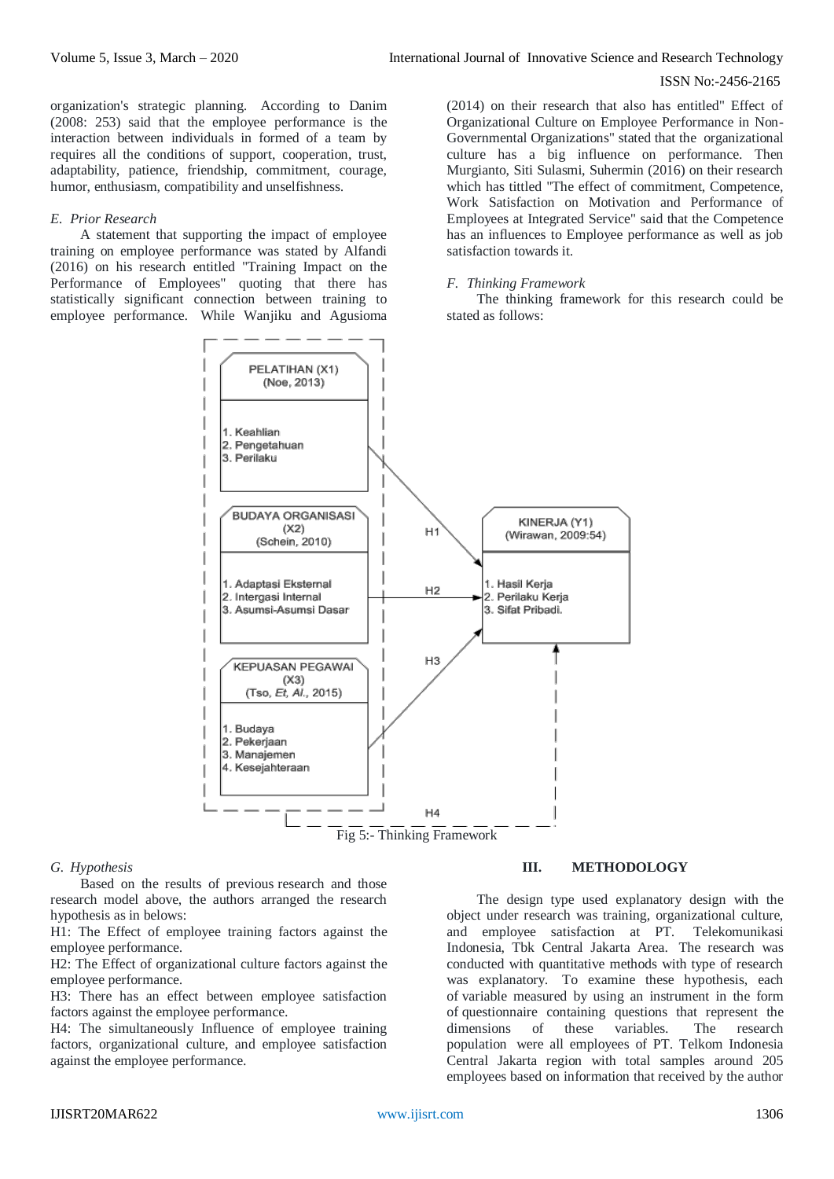organization's strategic planning. According to Danim (2008: 253) said that the employee performance is the interaction between individuals in formed of a team by requires all the conditions of support, cooperation, trust, adaptability, patience, friendship, commitment, courage, humor, enthusiasm, compatibility and unselfishness.

## *E. Prior Research*

A statement that supporting the impact of employee training on employee performance was stated by Alfandi (2016) on his research entitled "Training Impact on the Performance of Employees" quoting that there has statistically significant connection between training to employee performance. While Wanjiku and Agusioma

(2014) on their research that also has entitled" Effect of Organizational Culture on Employee Performance in Non-Governmental Organizations" stated that the organizational culture has a big influence on performance. Then Murgianto, Siti Sulasmi, Suhermin (2016) on their research which has tittled "The effect of commitment, Competence, Work Satisfaction on Motivation and Performance of Employees at Integrated Service" said that the Competence has an influences to Employee performance as well as job satisfaction towards it.

## *F. Thinking Framework*

The thinking framework for this research could be stated as follows:



#### *G. Hypothesis*

Based on the results of previous research and those research model above, the authors arranged the research hypothesis as in belows:

H1: The Effect of employee training factors against the employee performance.

H2: The Effect of organizational culture factors against the employee performance.

H3: There has an effect between employee satisfaction factors against the employee performance.

H4: The simultaneously Influence of employee training factors, organizational culture, and employee satisfaction against the employee performance.

# **III. METHODOLOGY**

The design type used explanatory design with the object under research was training, organizational culture, and employee satisfaction at PT. Telekomunikasi Indonesia, Tbk Central Jakarta Area. The research was conducted with quantitative methods with type of research was explanatory. To examine these hypothesis, each of variable measured by using an instrument in the form of questionnaire containing questions that represent the dimensions of these variables. The research population were all employees of PT. Telkom Indonesia Central Jakarta region with total samples around 205 employees based on information that received by the author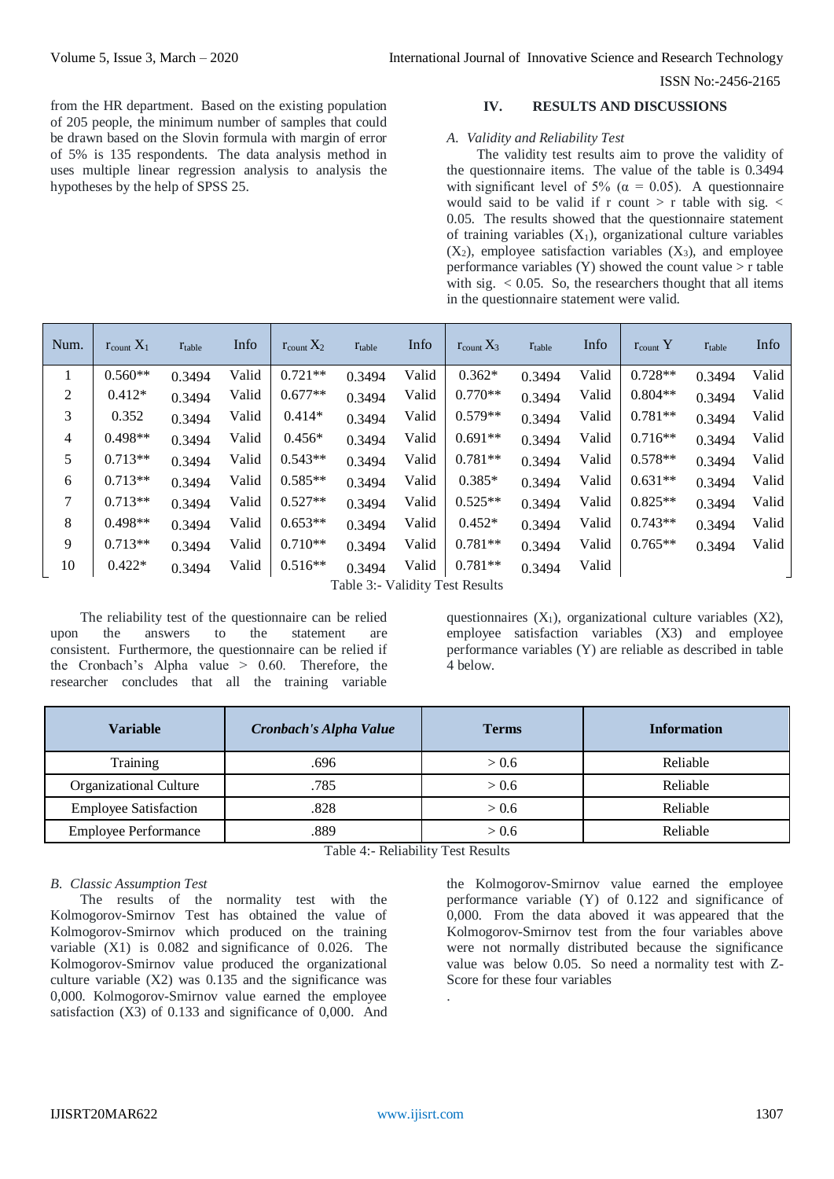from the HR department. Based on the existing population of 205 people, the minimum number of samples that could be drawn based on the Slovin formula with margin of error of 5% is 135 respondents. The data analysis method in uses multiple linear regression analysis to analysis the hypotheses by the help of SPSS 25.

## **IV. RESULTS AND DISCUSSIONS**

#### *A. Validity and Reliability Test*

The validity test results aim to prove the validity of the questionnaire items. The value of the table is 0.3494 with significant level of 5% ( $\alpha$  = 0.05). A questionnaire would said to be valid if  $r$  count  $> r$  table with sig.  $<$ 0.05. The results showed that the questionnaire statement of training variables  $(X_1)$ , organizational culture variables  $(X_2)$ , employee satisfaction variables  $(X_3)$ , and employee performance variables  $(Y)$  showed the count value  $>$  r table with sig.  $< 0.05$ . So, the researchers thought that all items in the questionnaire statement were valid.

| Num. | $r_{\text{count}} X_1$         | $r_{table}$ | Info  | $r_{\text{count}} X_2$ | $r_{table}$ | Info  | $r_{\text{count}} X_3$ | $r_{table}$ | Info  | $r_{\text{count}}$ Y | $r_{table}$ | Info  |
|------|--------------------------------|-------------|-------|------------------------|-------------|-------|------------------------|-------------|-------|----------------------|-------------|-------|
| 1    | $0.560**$                      | 0.3494      | Valid | $0.721**$              | 0.3494      | Valid | $0.362*$               | 0.3494      | Valid | $0.728**$            | 0.3494      | Valid |
| 2    | $0.412*$                       | 0.3494      | Valid | $0.677**$              | 0.3494      | Valid | $0.770**$              | 0.3494      | Valid | $0.804**$            | 0.3494      | Valid |
| 3    | 0.352                          | 0.3494      | Valid | $0.414*$               | 0.3494      | Valid | $0.579**$              | 0.3494      | Valid | $0.781**$            | 0.3494      | Valid |
| 4    | $0.498**$                      | 0.3494      | Valid | $0.456*$               | 0.3494      | Valid | $0.691**$              | 0.3494      | Valid | $0.716**$            | 0.3494      | Valid |
| 5    | $0.713**$                      | 0.3494      | Valid | $0.543**$              | 0.3494      | Valid | $0.781**$              | 0.3494      | Valid | $0.578**$            | 0.3494      | Valid |
| 6    | $0.713**$                      | 0.3494      | Valid | $0.585**$              | 0.3494      | Valid | $0.385*$               | 0.3494      | Valid | $0.631**$            | 0.3494      | Valid |
| 7    | $0.713**$                      | 0.3494      | Valid | $0.527**$              | 0.3494      | Valid | $0.525**$              | 0.3494      | Valid | $0.825**$            | 0.3494      | Valid |
| 8    | $0.498**$                      | 0.3494      | Valid | $0.653**$              | 0.3494      | Valid | $0.452*$               | 0.3494      | Valid | $0.743**$            | 0.3494      | Valid |
| 9    | $0.713**$                      | 0.3494      | Valid | $0.710**$              | 0.3494      | Valid | $0.781**$              | 0.3494      | Valid | $0.765**$            | 0.3494      | Valid |
| 10   | $0.422*$                       | 0.3494      | Valid | $0.516**$              | 0.3494      | Valid | $0.781**$              | 0.3494      | Valid |                      |             |       |
|      | Table 3. Validity Test Results |             |       |                        |             |       |                        |             |       |                      |             |       |

Table 3:- Validity Test Results

The reliability test of the questionnaire can be relied upon the answers to the statement are consistent. Furthermore, the questionnaire can be relied if the Cronbach's Alpha value > 0.60. Therefore, the researcher concludes that all the training variable

questionnaires  $(X_1)$ , organizational culture variables  $(X_2)$ , employee satisfaction variables (X3) and employee performance variables (Y) are reliable as described in table 4 below.

| <b>Variable</b>              | Cronbach's Alpha Value | <b>Terms</b> | <b>Information</b> |
|------------------------------|------------------------|--------------|--------------------|
| Training                     | .696                   | > 0.6        | Reliable           |
| Organizational Culture       | .785                   | > 0.6        | Reliable           |
| <b>Employee Satisfaction</b> | .828                   | > 0.6        | Reliable           |
| <b>Employee Performance</b>  | .889                   | > 0.6        | Reliable           |

Table 4:- Reliability Test Results

# *B. Classic Assumption Test*

The results of the normality test with the Kolmogorov-Smirnov Test has obtained the value of Kolmogorov-Smirnov which produced on the training variable (X1) is 0.082 and significance of 0.026. The Kolmogorov-Smirnov value produced the organizational culture variable  $(X2)$  was 0.135 and the significance was 0,000. Kolmogorov-Smirnov value earned the employee satisfaction (X3) of 0.133 and significance of 0,000. And the Kolmogorov-Smirnov value earned the employee performance variable (Y) of 0.122 and significance of 0,000. From the data aboved it was appeared that the Kolmogorov-Smirnov test from the four variables above were not normally distributed because the significance value was below 0.05. So need a normality test with Z-Score for these four variables .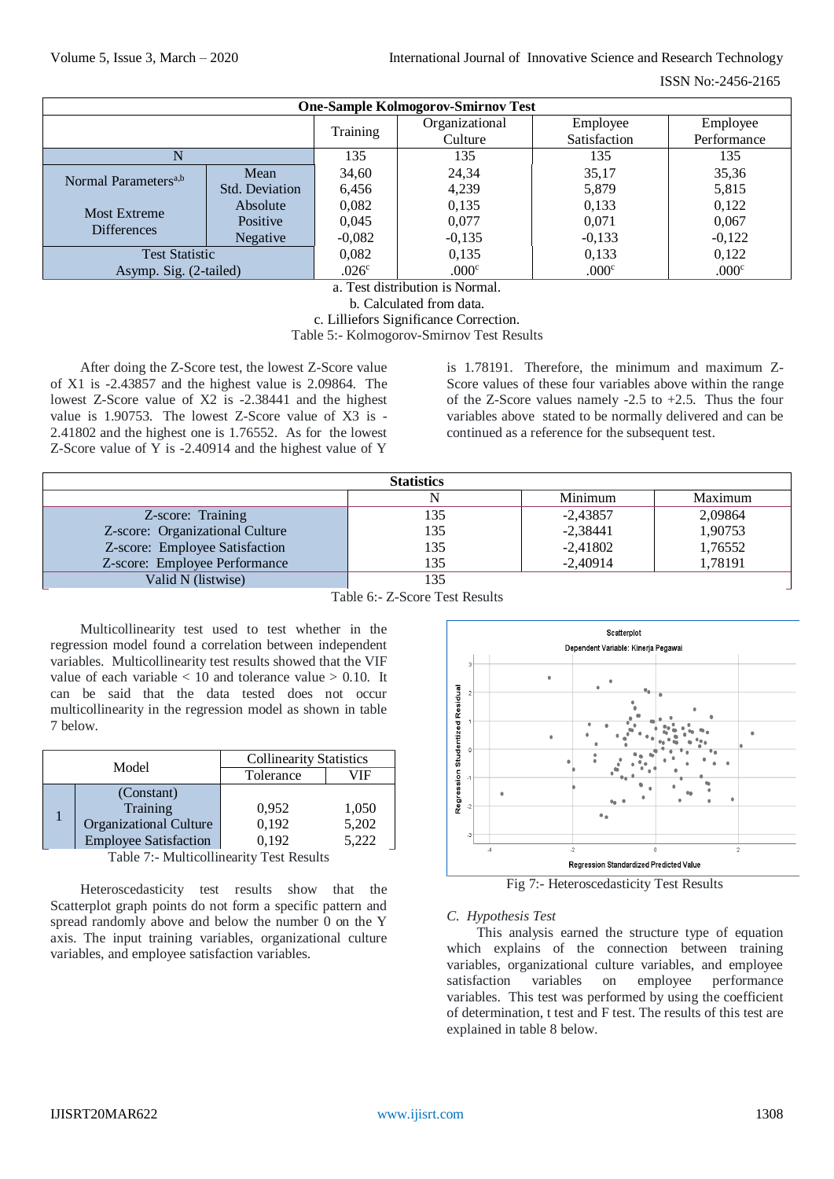| <b>One-Sample Kolmogorov-Smirnov Test</b> |                 |                   |                |              |             |  |  |  |
|-------------------------------------------|-----------------|-------------------|----------------|--------------|-------------|--|--|--|
|                                           |                 | Training          | Organizational | Employee     | Employee    |  |  |  |
|                                           |                 |                   | Culture        | Satisfaction | Performance |  |  |  |
|                                           |                 | 135               | 135            | 135          | 135         |  |  |  |
| Normal Parameters <sup>a,b</sup>          | Mean            | 34,60             | 24,34          | 35,17        | 35,36       |  |  |  |
|                                           | Std. Deviation  | 6,456             | 4,239          | 5,879        | 5,815       |  |  |  |
| <b>Most Extreme</b>                       | Absolute        | 0,082             | 0,135          | 0,133        | 0,122       |  |  |  |
| <b>Differences</b>                        | Positive        | 0.045             | 0,077          | 0,071        | 0,067       |  |  |  |
|                                           | <b>Negative</b> | $-0,082$          | $-0,135$       | $-0,133$     | $-0,122$    |  |  |  |
| <b>Test Statistic</b>                     |                 | 0,082             | 0,135          | 0,133        | 0.122       |  |  |  |
| Asymp. Sig. (2-tailed)                    |                 | .026 <sup>c</sup> | .000c          | .000c        | .000c       |  |  |  |

a. Test distribution is Normal.

b. Calculated from data.

c. Lilliefors Significance Correction.

Table 5:- Kolmogorov-Smirnov Test Results

After doing the Z-Score test, the lowest Z-Score value of X1 is -2.43857 and the highest value is 2.09864. The lowest Z-Score value of X2 is -2.38441 and the highest value is 1.90753. The lowest Z-Score value of X3 is - 2.41802 and the highest one is 1.76552. As for the lowest Z-Score value of Y is -2.40914 and the highest value of Y

is 1.78191. Therefore, the minimum and maximum Z-Score values of these four variables above within the range of the Z-Score values namely -2.5 to +2.5. Thus the four variables above stated to be normally delivered and can be continued as a reference for the subsequent test.

| <b>Statistics</b>               |     |            |         |  |  |  |  |
|---------------------------------|-----|------------|---------|--|--|--|--|
|                                 |     | Minimum    | Maximum |  |  |  |  |
| Z-score: Training               | 135 | $-2,43857$ | 2,09864 |  |  |  |  |
| Z-score: Organizational Culture | 135 | $-2,38441$ | 1,90753 |  |  |  |  |
| Z-score: Employee Satisfaction  | 135 | $-2,41802$ | 1,76552 |  |  |  |  |
| Z-score: Employee Performance   | 135 | $-2.40914$ | 1,78191 |  |  |  |  |
| Valid N (listwise)              |     |            |         |  |  |  |  |

Table 6:- Z-Score Test Results

Multicollinearity test used to test whether in the regression model found a correlation between independent variables. Multicollinearity test results showed that the VIF value of each variable  $< 10$  and tolerance value  $> 0.10$ . It can be said that the data tested does not occur multicollinearity in the regression model as shown in table 7 below.

|  | Model                         | <b>Collinearity Statistics</b> |       |  |
|--|-------------------------------|--------------------------------|-------|--|
|  |                               | Tolerance                      | /IF   |  |
|  | (Constant)                    |                                |       |  |
|  | Training                      | 0,952                          | 1,050 |  |
|  | <b>Organizational Culture</b> | 0,192                          | 5,202 |  |
|  | <b>Employee Satisfaction</b>  | 0.192                          | 5,222 |  |

Table 7:- Multicollinearity Test Results

Heteroscedasticity test results show that the Scatterplot graph points do not form a specific pattern and spread randomly above and below the number 0 on the Y axis. The input training variables, organizational culture variables, and employee satisfaction variables.



Fig 7:- Heteroscedasticity Test Results

# *C. Hypothesis Test*

This analysis earned the structure type of equation which explains of the connection between training variables, organizational culture variables, and employee satisfaction variables on employee performance variables. This test was performed by using the coefficient of determination, t test and F test. The results of this test are explained in table 8 below.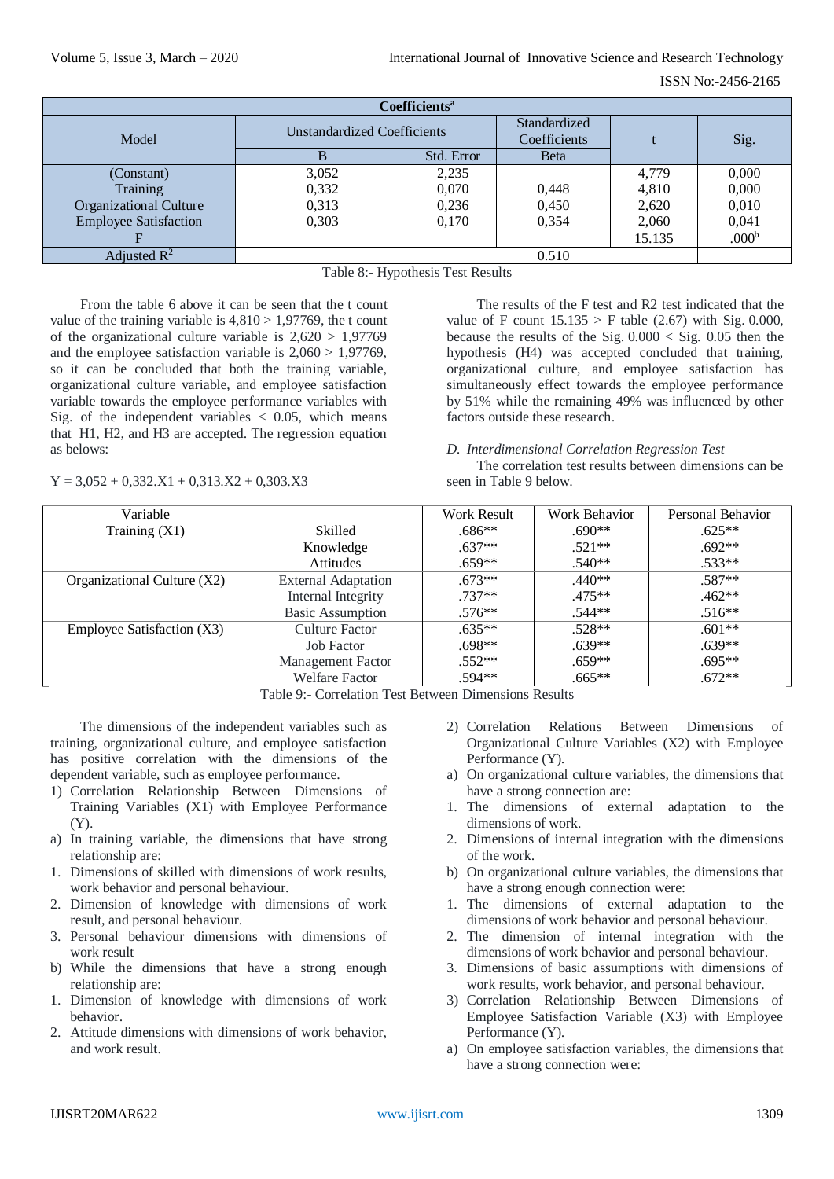| Coefficients <sup>a</sup>     |                                    |              |              |        |                   |  |  |  |
|-------------------------------|------------------------------------|--------------|--------------|--------|-------------------|--|--|--|
|                               | <b>Unstandardized Coefficients</b> | Standardized |              |        |                   |  |  |  |
| Model                         |                                    | Coefficients |              | Sig.   |                   |  |  |  |
|                               |                                    | Std. Error   | <b>B</b> eta |        |                   |  |  |  |
| (Constant)                    | 3,052                              | 2,235        |              | 4,779  | 0,000             |  |  |  |
| Training                      | 0,332                              | 0,070        | 0,448        | 4,810  | 0,000             |  |  |  |
| <b>Organizational Culture</b> | 0,313                              | 0,236        | 0,450        | 2,620  | 0,010             |  |  |  |
| <b>Employee Satisfaction</b>  | 0,303                              | 0,170        | 0,354        | 2,060  | 0,041             |  |  |  |
|                               |                                    |              |              | 15.135 | .000 <sup>b</sup> |  |  |  |
| Adjusted $\mathbb{R}^2$       | 0.510                              |              |              |        |                   |  |  |  |

Table 8:- Hypothesis Test Results

From the table 6 above it can be seen that the t count value of the training variable is  $4,810 > 1,97769$ , the t count of the organizational culture variable is  $2,620 > 1,97769$ and the employee satisfaction variable is  $2,060 > 1,97769$ , so it can be concluded that both the training variable, organizational culture variable, and employee satisfaction variable towards the employee performance variables with Sig. of the independent variables  $\langle 0.05, \text{ which means} \rangle$ that H1, H2, and H3 are accepted. The regression equation as belows:

 $Y = 3.052 + 0.332.X1 + 0.313.X2 + 0.303.X3$ 

The results of the F test and R2 test indicated that the value of F count  $15.135 > F$  table (2.67) with Sig. 0.000, because the results of the Sig.  $0.000 <$  Sig.  $0.05$  then the hypothesis (H4) was accepted concluded that training, organizational culture, and employee satisfaction has simultaneously effect towards the employee performance by 51% while the remaining 49% was influenced by other factors outside these research.

## *D. Interdimensional Correlation Regression Test*

The correlation test results between dimensions can be seen in Table 9 below.

| Variable                      |                            | Work Result | Work Behavior | Personal Behavior |
|-------------------------------|----------------------------|-------------|---------------|-------------------|
| Training $(X1)$               | Skilled                    | $.686**$    | $.690**$      | $.625**$          |
|                               | Knowledge                  | $.637**$    | $.521**$      | $.692**$          |
|                               | Attitudes                  | $.659**$    | $.540**$      | $.533**$          |
| Organizational Culture $(X2)$ | <b>External Adaptation</b> | $.673**$    | $.440**$      | $.587**$          |
|                               | Internal Integrity         | $.737**$    | $.475**$      | $.462**$          |
|                               | <b>Basic Assumption</b>    | $.576**$    | $.544**$      | $.516**$          |
| Employee Satisfaction (X3)    | <b>Culture Factor</b>      | $.635**$    | $.528**$      | $.601**$          |
|                               | Job Factor                 | $.698**$    | $.639**$      | $.639**$          |
|                               | Management Factor          | $.552**$    | $.659**$      | $.695**$          |
|                               | <b>Welfare Factor</b>      | $.594**$    | $.665**$      | $.672**$          |

Table 9:- Correlation Test Between Dimensions Results

The dimensions of the independent variables such as training, organizational culture, and employee satisfaction has positive correlation with the dimensions of the dependent variable, such as employee performance.

- 1) Correlation Relationship Between Dimensions of Training Variables (X1) with Employee Performance (Y).
- a) In training variable, the dimensions that have strong relationship are:
- 1. Dimensions of skilled with dimensions of work results, work behavior and personal behaviour.
- 2. Dimension of knowledge with dimensions of work result, and personal behaviour.
- 3. Personal behaviour dimensions with dimensions of work result
- b) While the dimensions that have a strong enough relationship are:
- 1. Dimension of knowledge with dimensions of work behavior.
- 2. Attitude dimensions with dimensions of work behavior, and work result.
- 2) Correlation Relations Between Dimensions of Organizational Culture Variables (X2) with Employee Performance (Y).
- a) On organizational culture variables, the dimensions that have a strong connection are:
- 1. The dimensions of external adaptation to the dimensions of work.
- 2. Dimensions of internal integration with the dimensions of the work.
- b) On organizational culture variables, the dimensions that have a strong enough connection were:
- 1. The dimensions of external adaptation to the dimensions of work behavior and personal behaviour.
- 2. The dimension of internal integration with the dimensions of work behavior and personal behaviour.
- 3. Dimensions of basic assumptions with dimensions of work results, work behavior, and personal behaviour.
- 3) Correlation Relationship Between Dimensions of Employee Satisfaction Variable (X3) with Employee Performance (Y).
- a) On employee satisfaction variables, the dimensions that have a strong connection were: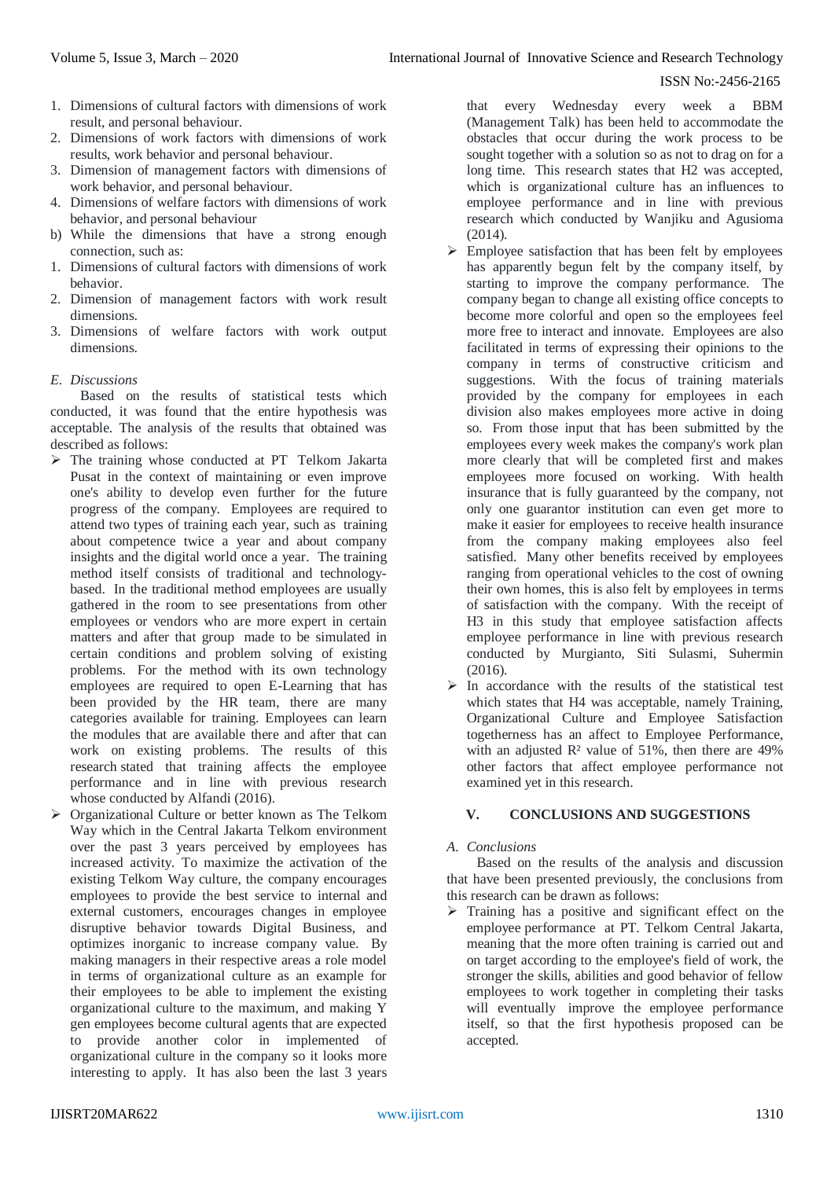- 1. Dimensions of cultural factors with dimensions of work result, and personal behaviour.
- 2. Dimensions of work factors with dimensions of work results, work behavior and personal behaviour.
- 3. Dimension of management factors with dimensions of work behavior, and personal behaviour.
- 4. Dimensions of welfare factors with dimensions of work behavior, and personal behaviour
- b) While the dimensions that have a strong enough connection, such as:
- 1. Dimensions of cultural factors with dimensions of work behavior.
- 2. Dimension of management factors with work result dimensions.
- 3. Dimensions of welfare factors with work output dimensions.
- *E. Discussions*

Based on the results of statistical tests which conducted, it was found that the entire hypothesis was acceptable. The analysis of the results that obtained was described as follows:

- $\triangleright$  The training whose conducted at PT Telkom Jakarta Pusat in the context of maintaining or even improve one's ability to develop even further for the future progress of the company. Employees are required to attend two types of training each year, such as training about competence twice a year and about company insights and the digital world once a year. The training method itself consists of traditional and technologybased. In the traditional method employees are usually gathered in the room to see presentations from other employees or vendors who are more expert in certain matters and after that group made to be simulated in certain conditions and problem solving of existing problems. For the method with its own technology employees are required to open E-Learning that has been provided by the HR team, there are many categories available for training. Employees can learn the modules that are available there and after that can work on existing problems. The results of this research stated that training affects the employee performance and in line with previous research whose conducted by Alfandi (2016).
- Organizational Culture or better known as The Telkom Way which in the Central Jakarta Telkom environment over the past 3 years perceived by employees has increased activity. To maximize the activation of the existing Telkom Way culture, the company encourages employees to provide the best service to internal and external customers, encourages changes in employee disruptive behavior towards Digital Business, and optimizes inorganic to increase company value. By making managers in their respective areas a role model in terms of organizational culture as an example for their employees to be able to implement the existing organizational culture to the maximum, and making Y gen employees become cultural agents that are expected to provide another color in implemented of organizational culture in the company so it looks more interesting to apply. It has also been the last 3 years

that every Wednesday every week a BBM (Management Talk) has been held to accommodate the obstacles that occur during the work process to be sought together with a solution so as not to drag on for a long time. This research states that H2 was accepted, which is organizational culture has an influences to employee performance and in line with previous research which conducted by Wanjiku and Agusioma (2014).

- $\triangleright$  Employee satisfaction that has been felt by employees has apparently begun felt by the company itself, by starting to improve the company performance. The company began to change all existing office concepts to become more colorful and open so the employees feel more free to interact and innovate. Employees are also facilitated in terms of expressing their opinions to the company in terms of constructive criticism and suggestions. With the focus of training materials provided by the company for employees in each division also makes employees more active in doing so. From those input that has been submitted by the employees every week makes the company's work plan more clearly that will be completed first and makes employees more focused on working. With health insurance that is fully guaranteed by the company, not only one guarantor institution can even get more to make it easier for employees to receive health insurance from the company making employees also feel satisfied. Many other benefits received by employees ranging from operational vehicles to the cost of owning their own homes, this is also felt by employees in terms of satisfaction with the company. With the receipt of H3 in this study that employee satisfaction affects employee performance in line with previous research conducted by Murgianto, Siti Sulasmi, Suhermin  $(2016)$ .
- $\triangleright$  In accordance with the results of the statistical test which states that H4 was acceptable, namely Training, Organizational Culture and Employee Satisfaction togetherness has an affect to Employee Performance, with an adjusted  $\mathbb{R}^2$  value of 51%, then there are 49% other factors that affect employee performance not examined yet in this research.

# **V. CONCLUSIONS AND SUGGESTIONS**

# *A. Conclusions*

Based on the results of the analysis and discussion that have been presented previously, the conclusions from this research can be drawn as follows:

 $\triangleright$  Training has a positive and significant effect on the employee performance at PT. Telkom Central Jakarta, meaning that the more often training is carried out and on target according to the employee's field of work, the stronger the skills, abilities and good behavior of fellow employees to work together in completing their tasks will eventually improve the employee performance itself, so that the first hypothesis proposed can be accepted.